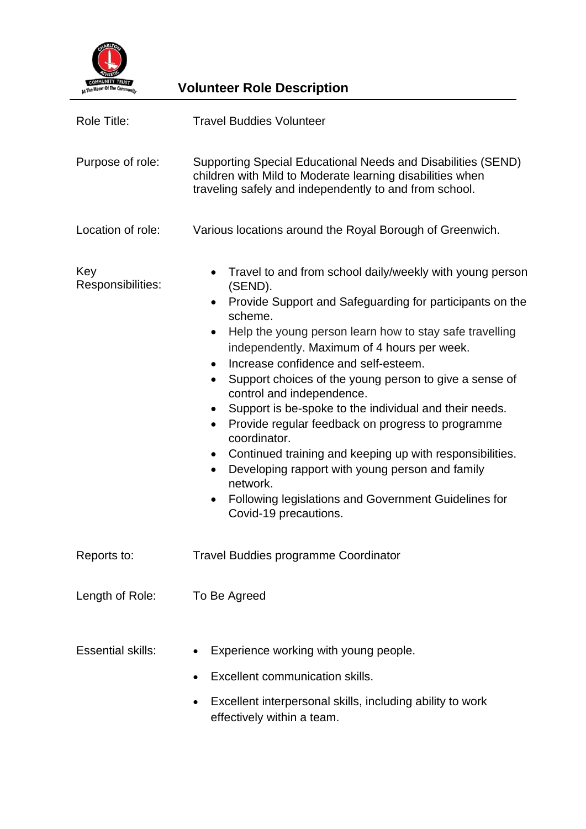

**Volunteer Role Description** 

| Role Title:              | <b>Travel Buddies Volunteer</b>                                                                                                                                                                                                                                                                                                                                                                                                                                                                                                                                                                                                                                                                                                                                              |
|--------------------------|------------------------------------------------------------------------------------------------------------------------------------------------------------------------------------------------------------------------------------------------------------------------------------------------------------------------------------------------------------------------------------------------------------------------------------------------------------------------------------------------------------------------------------------------------------------------------------------------------------------------------------------------------------------------------------------------------------------------------------------------------------------------------|
| Purpose of role:         | Supporting Special Educational Needs and Disabilities (SEND)<br>children with Mild to Moderate learning disabilities when<br>traveling safely and independently to and from school.                                                                                                                                                                                                                                                                                                                                                                                                                                                                                                                                                                                          |
| Location of role:        | Various locations around the Royal Borough of Greenwich.                                                                                                                                                                                                                                                                                                                                                                                                                                                                                                                                                                                                                                                                                                                     |
| Key<br>Responsibilities: | Travel to and from school daily/weekly with young person<br>(SEND).<br>Provide Support and Safeguarding for participants on the<br>$\bullet$<br>scheme.<br>Help the young person learn how to stay safe travelling<br>٠<br>independently. Maximum of 4 hours per week.<br>Increase confidence and self-esteem.<br>Support choices of the young person to give a sense of<br>control and independence.<br>Support is be-spoke to the individual and their needs.<br>٠<br>Provide regular feedback on progress to programme<br>٠<br>coordinator.<br>Continued training and keeping up with responsibilities.<br>٠<br>Developing rapport with young person and family<br>$\bullet$<br>network.<br>Following legislations and Government Guidelines for<br>Covid-19 precautions. |
| Reports to:              | <b>Travel Buddies programme Coordinator</b>                                                                                                                                                                                                                                                                                                                                                                                                                                                                                                                                                                                                                                                                                                                                  |
| Length of Role:          | To Be Agreed                                                                                                                                                                                                                                                                                                                                                                                                                                                                                                                                                                                                                                                                                                                                                                 |
| <b>Essential skills:</b> | Experience working with young people.<br>Excellent communication skills.<br>Excellent interpersonal skills, including ability to work<br>effectively within a team.                                                                                                                                                                                                                                                                                                                                                                                                                                                                                                                                                                                                          |